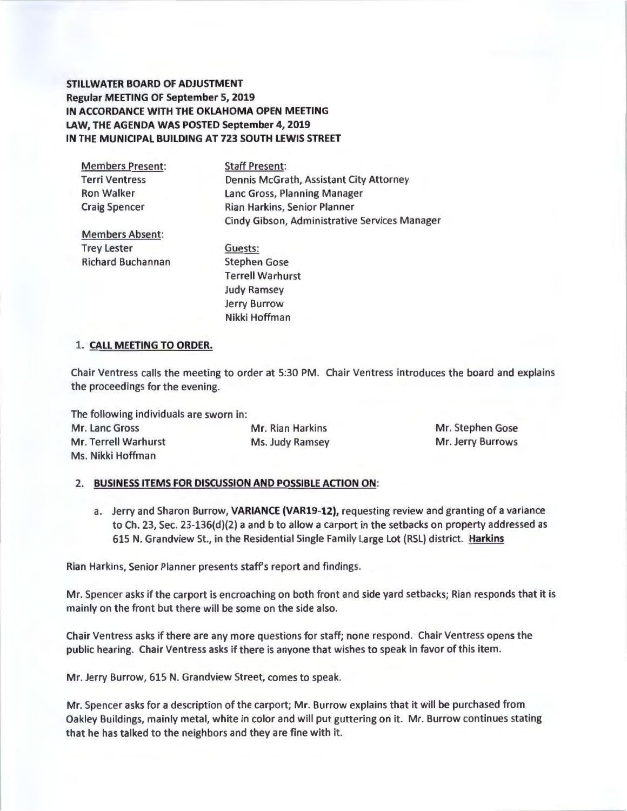**STILLWATER BOARD OF ADJUSTMENT Regular MEETING OF September 5, 2019 IN ACCORDANCE WITH THE OKLAHOMA OPEN MEETING LAW, THE AGENDA WAS POSTED September 4, 2019 IN THE MUNICIPAL BUILDING AT 723 SOUTH LEWIS STREET** 

| <b>Members Present:</b>  | <b>Staff Present:</b>                         |  |  |  |  |
|--------------------------|-----------------------------------------------|--|--|--|--|
| <b>Terri Ventress</b>    | Dennis McGrath, Assistant City Attorney       |  |  |  |  |
| <b>Ron Walker</b>        | Lanc Gross, Planning Manager                  |  |  |  |  |
| <b>Craig Spencer</b>     | Rian Harkins, Senior Planner                  |  |  |  |  |
|                          | Cindy Gibson, Administrative Services Manager |  |  |  |  |
| <b>Members Absent:</b>   |                                               |  |  |  |  |
| <b>Trey Lester</b>       | Guests:                                       |  |  |  |  |
| <b>Richard Buchannan</b> | <b>Stephen Gose</b>                           |  |  |  |  |
|                          | <b>Terrell Warhurst</b>                       |  |  |  |  |
|                          | <b>Judy Ramsey</b>                            |  |  |  |  |
|                          |                                               |  |  |  |  |

Jerry Burrow Nikki Hoffman

## 1. **CALL MEETING TO ORDER.**

Chair Ventress calls the meeting to order at 5:30 PM. Chair Ventress introduces the board and explains the proceedings for the evening.

The following individuals are sworn in: Mr. Lanc Gross Mr. Rian Harkins Mr. Terrell Warhurst Ms. Judy Ramsey Ms. Nikki Hoffman

Mr. Stephen Gose Mr. Jerry Burrows

# 2. **BUSINESS ITEMS FOR DISCUSSION AND POSSIBLE ACTION ON:**

a. Jerry and Sharon Burrow, **VARIANCE (VAR19-12),** requesting review and granting of a variance to Ch. 23, Sec. 23-136(d)(2) a and b to allow a carport in the setbacks on property addressed as 615 N. Grandview St., in the Residential Single Family Large Lot (RSL) district. **Harkins** 

Rian Harkins, Senior Planner presents staff's report and findings.

Mr. Spencer asks if the carport is encroaching on both front and side yard setbacks; Rian responds that it is mainly on the front but there will be some on the side also.

Chair Ventress asks if there are any more questions for staff; none respond. Chair Ventress opens the public hearing. Chair Ventress asks if there is anyone that wishes to speak in favor of this item.

Mr. Jerry Burrow, 615 N. Grandview Street, comes to speak.

Mr. Spencer asks for a description of the carport; Mr. Burrow explains that it will be purchased from Oakley Buildings, mainly metal, white in color and will put guttering on it. Mr. Burrow continues stating that he has talked to the neighbors and they are fine with it.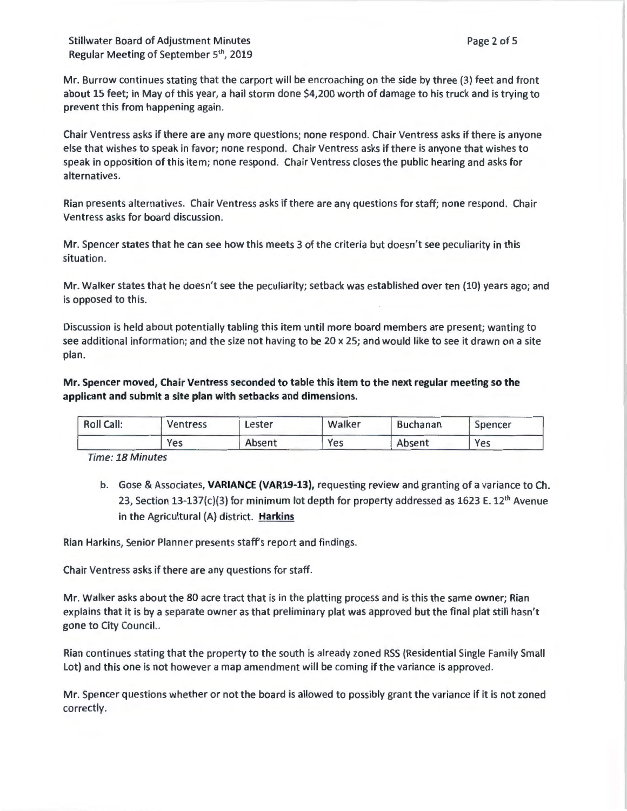Stillwater Board of Adjustment Minutes Regular Meeting of September 5<sup>th</sup>, 2019

Mr. Burrow continues stating that the carport will be encroaching on the side by three (3) feet and front about 15 feet; in May of this year, a hail storm done \$4,200 worth of damage to his truck and is trying to prevent this from happening again.

Chair Ventress asks if there are any more questions; none respond . Chair Ventress asks if there is anyone else that wishes to speak in favor; none respond. Chair Ventress asks if there is anyone that wishes to speak in opposition of this item; none respond. Chair Ventress closes the public hearing and asks for alternatives.

Rian presents alternatives. Chair Ventress asks if there are any questions for staff; none respond. Chair Ventress asks for board discussion.

Mr. Spencer states that he can see how this meets 3 of the criteria but doesn't see peculiarity in this situation.

Mr. Walker states that he doesn't see the peculiarity; setback was established over ten (10) years ago; and is opposed to this.

Discussion is held about potentially tabling this item until more board members are present; wanting to see additional information; and the size not having to be 20 x 25; and would like to see it drawn on a site plan.

**Mr. Spencer moved, Chair Ventress seconded to table this item to the next regular meeting so the applicant and submit a site plan with setbacks and dimensions.** 

| <b>Roll Call:</b> | Ventress | Lester | Walker | <b>Buchanan</b> | Spencer |
|-------------------|----------|--------|--------|-----------------|---------|
|                   | Yes      | Absent | Yes    | Absent          | Yes     |

Time: 18 Minutes

b. Gose & Associates, **VARIANCE (VAR19-13),** requesting review and granting of a variance to Ch. 23, Section 13-137(c)(3) for minimum lot depth for property addressed as 1623 E. 12<sup>th</sup> Avenue in the Agricultural (A) district. **Harkins** 

Rian Harkins, Senior Planner presents staff's report and findings.

Chair Ventress asks if there are any questions for staff.

Mr. Walker asks about the 80 acre tract that is in the platting process and is this the same owner; Rian explains that it is by a separate owner as that preliminary plat was approved but the final plat still hasn't gone to City Council..

Rian continues stating that the property to the south is already zoned RSS (Residential Single Family Small Lot) and this one is not however a map amendment will be coming if the variance is approved.

Mr. Spencer questions whether or not the board is allowed to possibly grant the variance if it is not zoned correctly.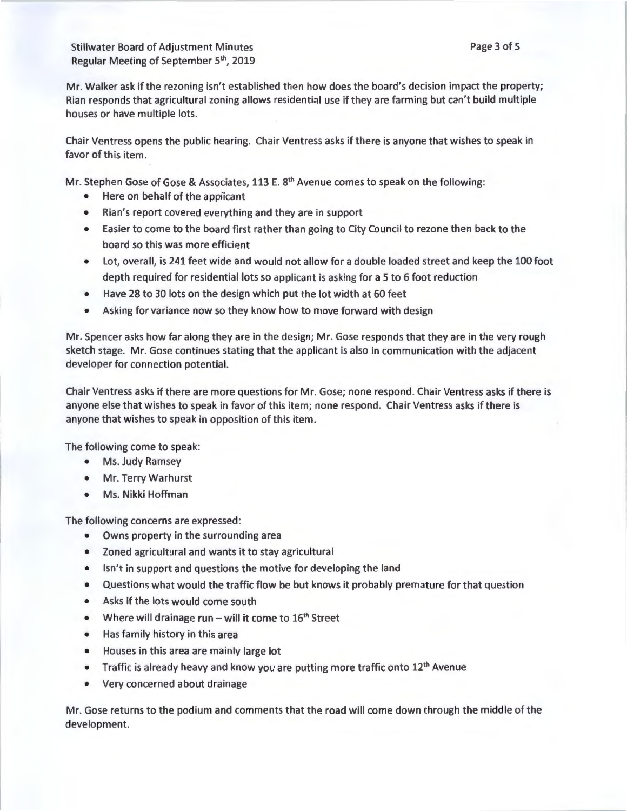Stillwater Board of Adjustment Minutes Regular Meeting of September 5<sup>th</sup>, 2019

Mr. Walker ask if the rezoning isn't established then how does the board's decision impact the property; Rian responds that agricultural zoning allows residential use if they are farming but can't build multiple houses or have multiple lots.

Chair Ventress opens the public hearing. Chair Ventress asks if there is anyone that wishes to speak in favor of this item.

Mr. Stephen Gose of Gose & Associates, 113 E. 8<sup>th</sup> Avenue comes to speak on the following:

- Here on behalf of the applicant
- Rian's report covered everything and they are in support
- Easier to come to the board first rather than going to City Council to rezone then back to the board so this was more efficient
- Lot, overall, is 241 feet wide and would not allow for a double loaded street and keep the 100 foot depth required for residential lots so applicant is asking for a 5 to 6 foot reduction
- Have 28 to 30 lots on the design which put the lot width at 60 feet
- Asking for variance now so they know how to move forward with design

Mr. Spencer asks how far along they are in the design; Mr. Gose responds that they are in the very rough sketch stage. Mr. Gose continues stating that the applicant is also in communication with the adjacent developer for connection potential.

Chair Ventress asks if there are more questions for Mr. Gose; none respond . Chair Ventress asks if there is anyone else that wishes to speak in favor of this item; none respond. Chair Ventress asks if there is anyone that wishes to speak in opposition of this item.

The following come to speak:

- Ms. Judy Ramsey
- Mr. Terry Warhurst
- Ms. Nikki Hoffman

The following concerns are expressed:

- Owns property in the surrounding area
- Zoned agricultural and wants it to stay agricultural
- Isn't in support and questions the motive for developing the land
- Questions what would the traffic flow be but knows it probably premature for that question
- Asks if the lots would come south
- Where will drainage run will it come to  $16<sup>th</sup>$  Street
- Has family history in this area
- Houses in this area are mainly large lot
- Traffic is already heavy and know you are putting more traffic onto 12<sup>th</sup> Avenue
- Very concerned about drainage

Mr. Gose returns to the podium and comments that the road will come down through the middle of the development.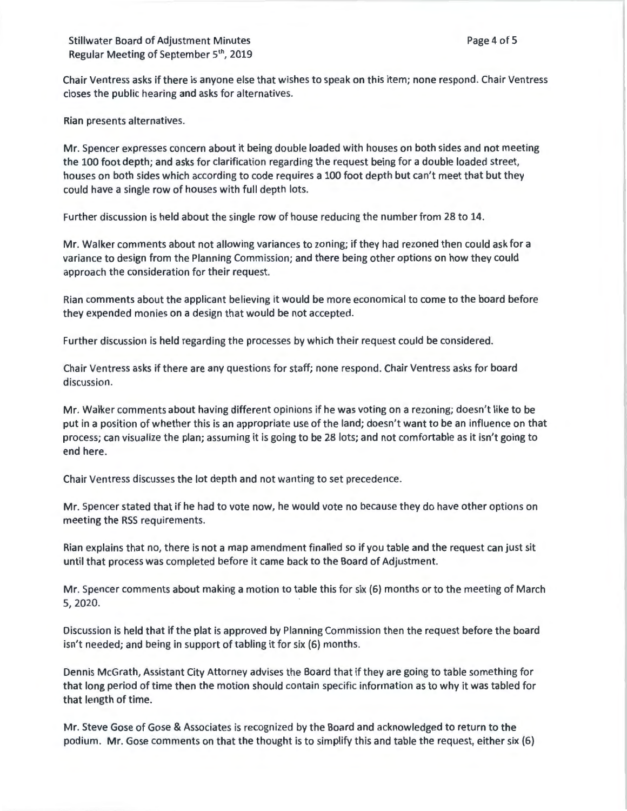Chair Ventress asks if there is anyone else that wishes to speak on this item; none respond. Chair Ventress closes the public hearing and asks for alternatives.

Rian presents alternatives.

Mr. Spencer expresses concern about it being double loaded with houses on both sides and not meeting the 100 foot depth; and asks for clarification regarding the request being for a double loaded street, houses on both sides which according to code requires a 100 foot depth but can't meet that but they could have a single row of houses with full depth lots.

Further discussion is held about the single row of house reducing the number from 28 to 14.

Mr. Walker comments about not allowing variances to zoning; if they had rezoned then could ask for a variance to design from the Planning Commission; and there being other options on how they could approach the consideration for their request.

Rian comments about the applicant believing it would be more economical to come to the board before they expended monies on a design that would be not accepted.

Further discussion is held regarding the processes by which their request could be considered.

Chair Ventress asks if there are any questions for staff; none respond. Chair Ventress asks for board discussion.

Mr. Walker comments about having different opinions if he was voting on a rezoning; doesn't like to be put in a position of whether this is an appropriate use of the land; doesn't want to be an influence on that process; can visualize the plan; assuming it is going to be 28 lots; and not comfortable as it isn't going to end here.

Chair Ventress discusses the lot depth and not wanting to set precedence.

Mr. Spencer stated that if he had to vote now, he would vote no because they do have other options on meeting the RSS requirements.

Rian explains that no, there is not a map amendment finalled so if you table and the request can just sit until that process was completed before it came back to the Board of Adjustment.

Mr. Spencer comments about making a motion to table this for six (6) months or to the meeting of March 5, 2020.

Discussion is held that if the plat is approved by Planning Commission then the request before the board isn't needed; and being in support of tabling it for six (6) months.

Dennis McGrath, Assistant City Attorney advises the Board that if they are going to table something for that long period of time then the motion should contain specific information as to why it was tabled for that length of time.

Mr. Steve Gose of Gose & Associates is recognized by the Board and acknowledged to return to the podium. Mr. Gose comments on that the thought is to simplify this and table the request, either six (6)